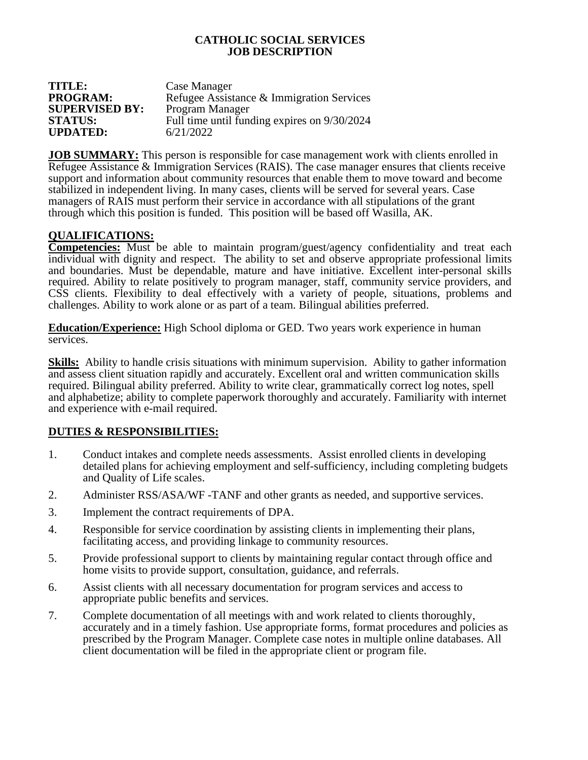## **CATHOLIC SOCIAL SERVICES JOB DESCRIPTION**

| <b>TITLE:</b>         | Case Manager                                 |
|-----------------------|----------------------------------------------|
| <b>PROGRAM:</b>       | Refugee Assistance & Immigration Services    |
| <b>SUPERVISED BY:</b> | Program Manager                              |
| <b>STATUS:</b>        | Full time until funding expires on 9/30/2024 |
| <b>UPDATED:</b>       | 6/21/2022                                    |

**JOB SUMMARY:** This person is responsible for case management work with clients enrolled in Refugee Assistance & Immigration Services (RAIS). The case manager ensures that clients receive support and information about community resources that enable them to move toward and become stabilized in independent living. In many cases, clients will be served for several years. Case managers of RAIS must perform their service in accordance with all stipulations of the grant through which this position is funded. This position will be based off Wasilla, AK.

## **QUALIFICATIONS:**

**Competencies:** Must be able to maintain program/guest/agency confidentiality and treat each individual with dignity and respect. The ability to set and observe appropriate professional limits and boundaries. Must be dependable, mature and have initiative. Excellent inter-personal skills required. Ability to relate positively to program manager, staff, community service providers, and CSS clients. Flexibility to deal effectively with a variety of people, situations, problems and challenges. Ability to work alone or as part of a team. Bilingual abilities preferred.

**Education/Experience:** High School diploma or GED. Two years work experience in human services.

**Skills:** Ability to handle crisis situations with minimum supervision. Ability to gather information and assess client situation rapidly and accurately. Excellent oral and written communication skills required. Bilingual ability preferred. Ability to write clear, grammatically correct log notes, spell and alphabetize; ability to complete paperwork thoroughly and accurately. Familiarity with internet and experience with e-mail required.

## **DUTIES & RESPONSIBILITIES:**

- 1. Conduct intakes and complete needs assessments. Assist enrolled clients in developing detailed plans for achieving employment and self-sufficiency, including completing budgets and Quality of Life scales.
- 2. Administer RSS/ASA/WF -TANF and other grants as needed, and supportive services.
- 3. Implement the contract requirements of DPA.
- 4. Responsible for service coordination by assisting clients in implementing their plans, facilitating access, and providing linkage to community resources.
- 5. Provide professional support to clients by maintaining regular contact through office and home visits to provide support, consultation, guidance, and referrals.
- 6. Assist clients with all necessary documentation for program services and access to appropriate public benefits and services.
- 7. Complete documentation of all meetings with and work related to clients thoroughly, accurately and in a timely fashion. Use appropriate forms, format procedures and policies as prescribed by the Program Manager. Complete case notes in multiple online databases. All client documentation will be filed in the appropriate client or program file.